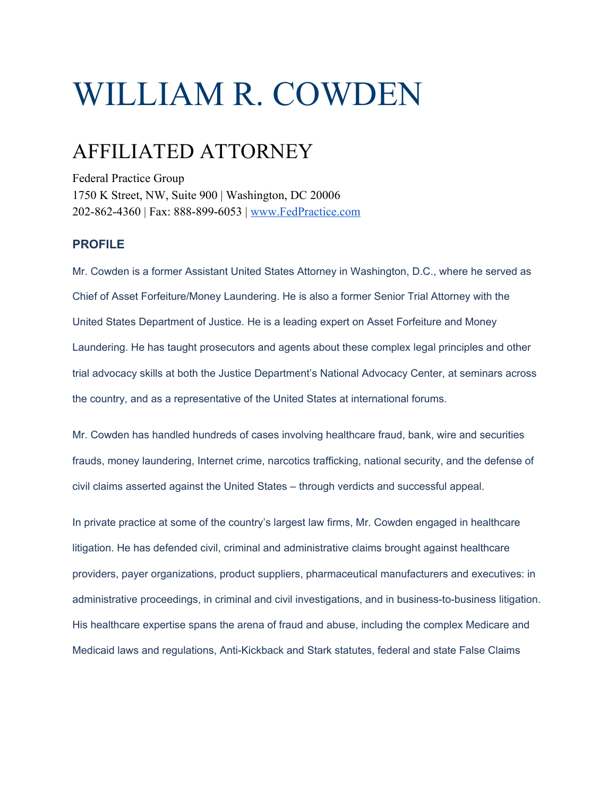# WILLIAM R. COWDEN

## AFFILIATED ATTORNEY

Federal Practice Group 1750 K Street, NW, Suite 900 | Washington, DC 20006 202-862-4360 | Fax: 888-899-6053 | [www.FedPractice.com](http://www.fedpractice.com/)

### **PROFILE**

Mr. Cowden is a former Assistant United States Attorney in Washington, D.C., where he served as Chief of Asset Forfeiture/Money Laundering. He is also a former Senior Trial Attorney with the United States Department of Justice. He is a leading expert on Asset Forfeiture and Money Laundering. He has taught prosecutors and agents about these complex legal principles and other trial advocacy skills at both the Justice Department's National Advocacy Center, at seminars across the country, and as a representative of the United States at international forums.

Mr. Cowden has handled hundreds of cases involving healthcare fraud, bank, wire and securities frauds, money laundering, Internet crime, narcotics trafficking, national security, and the defense of civil claims asserted against the United States – through verdicts and successful appeal.

In private practice at some of the country's largest law firms, Mr. Cowden engaged in healthcare litigation. He has defended civil, criminal and administrative claims brought against healthcare providers, payer organizations, product suppliers, pharmaceutical manufacturers and executives: in administrative proceedings, in criminal and civil investigations, and in business-to-business litigation. His healthcare expertise spans the arena of fraud and abuse, including the complex Medicare and Medicaid laws and regulations, Anti-Kickback and Stark statutes, federal and state False Claims